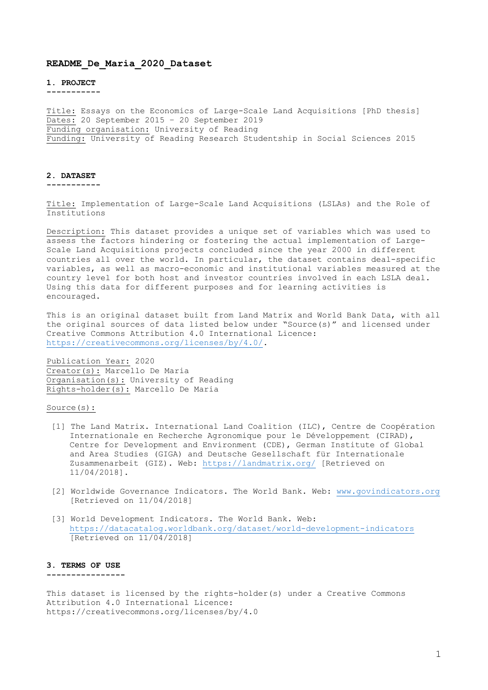# **README\_De\_Maria\_2020\_Dataset**

#### **1. PROJECT**

**-----------**

Title: Essays on the Economics of Large-Scale Land Acquisitions [PhD thesis] Dates: 20 September 2015 – 20 September 2019 Funding organisation: University of Reading Funding: University of Reading Research Studentship in Social Sciences 2015

### **2. DATASET**

**-----------**

Title: Implementation of Large-Scale Land Acquisitions (LSLAs) and the Role of Institutions

Description: This dataset provides a unique set of variables which was used to assess the factors hindering or fostering the actual implementation of Large-Scale Land Acquisitions projects concluded since the year 2000 in different countries all over the world. In particular, the dataset contains deal-specific variables, as well as macro-economic and institutional variables measured at the country level for both host and investor countries involved in each LSLA deal. Using this data for different purposes and for learning activities is encouraged.

This is an original dataset built from Land Matrix and World Bank Data, with all the original sources of data listed below under "Source(s)" and licensed under Creative Commons Attribution 4.0 International Licence: https://creativecommons.org/licenses/by/4.0/.

Publication Year: 2020 Creator(s): Marcello De Maria Organisation(s): University of Reading Rights-holder(s): Marcello De Maria

## Source(s):

- [1] The Land Matrix. International Land Coalition (ILC), Centre de Coopération Internationale en Recherche Agronomique pour le Développement (CIRAD), Centre for Development and Environment (CDE), German Institute of Global and Area Studies (GIGA) and Deutsche Gesellschaft für Internationale Zusammenarbeit (GIZ). Web: https://landmatrix.org/ [Retrieved on 11/04/2018].
- [2] Worldwide Governance Indicators. The World Bank. Web: www.govindicators.org [Retrieved on 11/04/2018]
- [3] World Development Indicators. The World Bank. Web: https://datacatalog.worldbank.org/dataset/world-development-indicators [Retrieved on 11/04/2018]

#### **3. TERMS OF USE**

**----------------**

This dataset is licensed by the rights-holder(s) under a Creative Commons Attribution 4.0 International Licence: https://creativecommons.org/licenses/by/4.0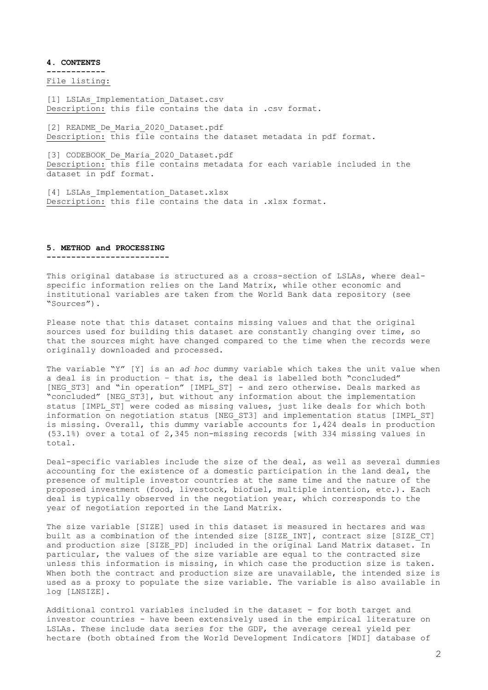**4. CONTENTS**

**------------** File listing:

[1] LSLAs\_Implementation\_Dataset.csv Description: this file contains the data in .csv format.

[2] README De Maria 2020 Dataset.pdf Description: this file contains the dataset metadata in pdf format.

[3] CODEBOOK\_De\_Maria\_2020\_Dataset.pdf Description: this file contains metadata for each variable included in the dataset in pdf format.

[4] LSLAs Implementation Dataset.xlsx Description: this file contains the data in .xlsx format.

### **5. METHOD and PROCESSING**

**-------------------------**

This original database is structured as a cross-section of LSLAs, where dealspecific information relies on the Land Matrix, while other economic and institutional variables are taken from the World Bank data repository (see "Sources").

Please note that this dataset contains missing values and that the original sources used for building this dataset are constantly changing over time, so that the sources might have changed compared to the time when the records were originally downloaded and processed.

The variable "Y" [Y] is an *ad hoc* dummy variable which takes the unit value when a deal is in production – that is, the deal is labelled both "concluded" [NEG ST3] and "in operation" [IMPL\_ST] - and zero otherwise. Deals marked as "concluded" [NEG ST3], but without any information about the implementation status [IMPL ST] were coded as missing values, just like deals for which both information on negotiation status [NEG\_ST3] and implementation status [IMPL\_ST] is missing. Overall, this dummy variable accounts for 1,424 deals in production (53.1%) over a total of 2,345 non-missing records [with 334 missing values in total.

Deal-specific variables include the size of the deal, as well as several dummies accounting for the existence of a domestic participation in the land deal, the presence of multiple investor countries at the same time and the nature of the proposed investment (food, livestock, biofuel, multiple intention, etc.). Each deal is typically observed in the negotiation year, which corresponds to the year of negotiation reported in the Land Matrix.

The size variable [SIZE] used in this dataset is measured in hectares and was built as a combination of the intended size [SIZE\_INT], contract size [SIZE\_CT] and production size [SIZE\_PD] included in the original Land Matrix dataset. In particular, the values of the size variable are equal to the contracted size unless this information is missing, in which case the production size is taken. When both the contract and production size are unavailable, the intended size is used as a proxy to populate the size variable. The variable is also available in log [LNSIZE].

Additional control variables included in the dataset - for both target and investor countries - have been extensively used in the empirical literature on LSLAs. These include data series for the GDP, the average cereal yield per hectare (both obtained from the World Development Indicators [WDI] database of